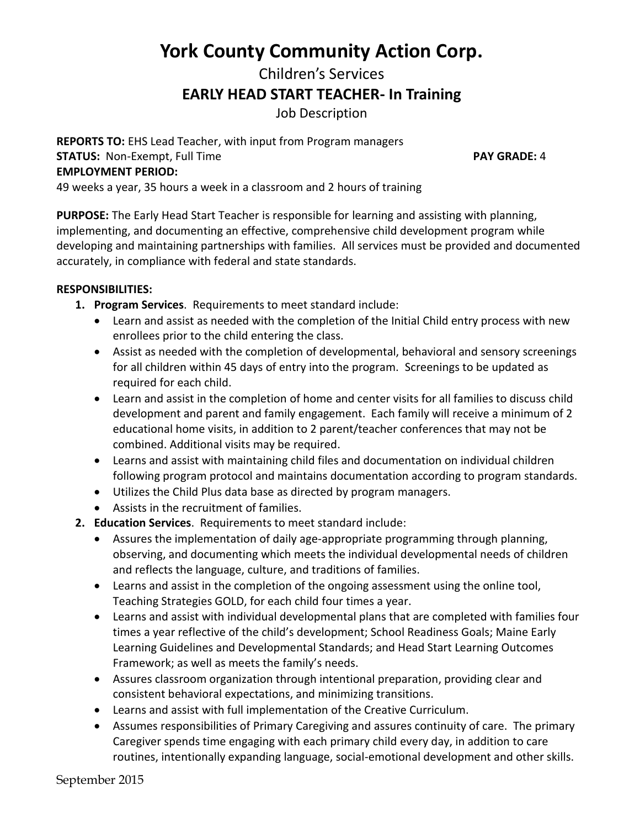## **York County Community Action Corp.**

# Children's Services **EARLY HEAD START TEACHER- In Training**

Job Description

**REPORTS TO:** EHS Lead Teacher, with input from Program managers **STATUS:** Non-Exempt, Full Time **PAY GRADE:** 4 **EMPLOYMENT PERIOD:**

49 weeks a year, 35 hours a week in a classroom and 2 hours of training

**PURPOSE:** The Early Head Start Teacher is responsible for learning and assisting with planning, implementing, and documenting an effective, comprehensive child development program while developing and maintaining partnerships with families. All services must be provided and documented accurately, in compliance with federal and state standards.

#### **RESPONSIBILITIES:**

- **1. Program Services**. Requirements to meet standard include:
	- Learn and assist as needed with the completion of the Initial Child entry process with new enrollees prior to the child entering the class.
	- Assist as needed with the completion of developmental, behavioral and sensory screenings for all children within 45 days of entry into the program. Screenings to be updated as required for each child.
	- Learn and assist in the completion of home and center visits for all families to discuss child development and parent and family engagement. Each family will receive a minimum of 2 educational home visits, in addition to 2 parent/teacher conferences that may not be combined. Additional visits may be required.
	- Learns and assist with maintaining child files and documentation on individual children following program protocol and maintains documentation according to program standards.
	- Utilizes the Child Plus data base as directed by program managers.
	- Assists in the recruitment of families.
- **2. Education Services**. Requirements to meet standard include:
	- Assures the implementation of daily age-appropriate programming through planning, observing, and documenting which meets the individual developmental needs of children and reflects the language, culture, and traditions of families.
	- Learns and assist in the completion of the ongoing assessment using the online tool, Teaching Strategies GOLD, for each child four times a year.
	- Learns and assist with individual developmental plans that are completed with families four times a year reflective of the child's development; School Readiness Goals; Maine Early Learning Guidelines and Developmental Standards; and Head Start Learning Outcomes Framework; as well as meets the family's needs.
	- Assures classroom organization through intentional preparation, providing clear and consistent behavioral expectations, and minimizing transitions.
	- Learns and assist with full implementation of the Creative Curriculum.
	- Assumes responsibilities of Primary Caregiving and assures continuity of care. The primary Caregiver spends time engaging with each primary child every day, in addition to care routines, intentionally expanding language, social-emotional development and other skills.

September 2015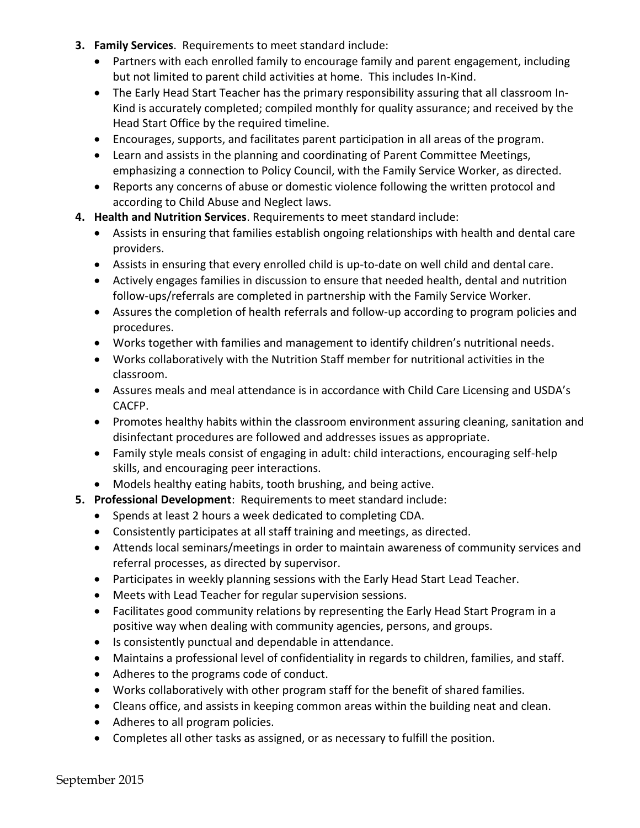- **3. Family Services**. Requirements to meet standard include:
	- Partners with each enrolled family to encourage family and parent engagement, including but not limited to parent child activities at home. This includes In-Kind.
	- The Early Head Start Teacher has the primary responsibility assuring that all classroom In-Kind is accurately completed; compiled monthly for quality assurance; and received by the Head Start Office by the required timeline.
	- Encourages, supports, and facilitates parent participation in all areas of the program.
	- Learn and assists in the planning and coordinating of Parent Committee Meetings, emphasizing a connection to Policy Council, with the Family Service Worker, as directed.
	- Reports any concerns of abuse or domestic violence following the written protocol and according to Child Abuse and Neglect laws.
- **4. Health and Nutrition Services**. Requirements to meet standard include:
	- Assists in ensuring that families establish ongoing relationships with health and dental care providers.
	- Assists in ensuring that every enrolled child is up-to-date on well child and dental care.
	- Actively engages families in discussion to ensure that needed health, dental and nutrition follow-ups/referrals are completed in partnership with the Family Service Worker.
	- Assures the completion of health referrals and follow-up according to program policies and procedures.
	- Works together with families and management to identify children's nutritional needs.
	- Works collaboratively with the Nutrition Staff member for nutritional activities in the classroom.
	- Assures meals and meal attendance is in accordance with Child Care Licensing and USDA's CACFP.
	- Promotes healthy habits within the classroom environment assuring cleaning, sanitation and disinfectant procedures are followed and addresses issues as appropriate.
	- Family style meals consist of engaging in adult: child interactions, encouraging self-help skills, and encouraging peer interactions.
	- Models healthy eating habits, tooth brushing, and being active.
- **5. Professional Development**: Requirements to meet standard include:
	- Spends at least 2 hours a week dedicated to completing CDA.
	- Consistently participates at all staff training and meetings, as directed.
	- Attends local seminars/meetings in order to maintain awareness of community services and referral processes, as directed by supervisor.
	- Participates in weekly planning sessions with the Early Head Start Lead Teacher.
	- Meets with Lead Teacher for regular supervision sessions.
	- Facilitates good community relations by representing the Early Head Start Program in a positive way when dealing with community agencies, persons, and groups.
	- Is consistently punctual and dependable in attendance.
	- Maintains a professional level of confidentiality in regards to children, families, and staff.
	- Adheres to the programs code of conduct.
	- Works collaboratively with other program staff for the benefit of shared families.
	- Cleans office, and assists in keeping common areas within the building neat and clean.
	- Adheres to all program policies.
	- Completes all other tasks as assigned, or as necessary to fulfill the position.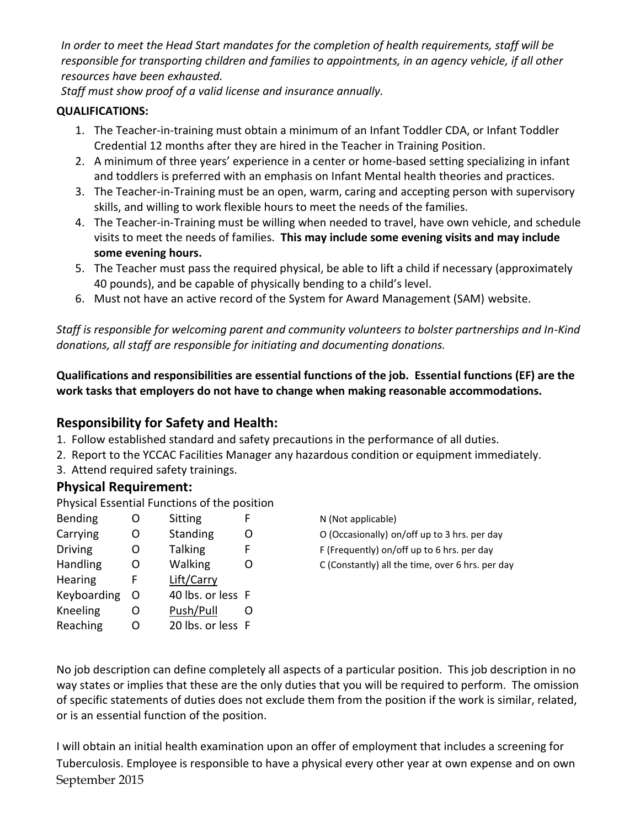*In order to meet the Head Start mandates for the completion of health requirements, staff will be responsible for transporting children and families to appointments, in an agency vehicle, if all other resources have been exhausted.*

*Staff must show proof of a valid license and insurance annually.* 

#### **QUALIFICATIONS:**

- 1. The Teacher-in-training must obtain a minimum of an Infant Toddler CDA, or Infant Toddler Credential 12 months after they are hired in the Teacher in Training Position.
- 2. A minimum of three years' experience in a center or home-based setting specializing in infant and toddlers is preferred with an emphasis on Infant Mental health theories and practices.
- 3. The Teacher-in-Training must be an open, warm, caring and accepting person with supervisory skills, and willing to work flexible hours to meet the needs of the families.
- 4. The Teacher-in-Training must be willing when needed to travel, have own vehicle, and schedule visits to meet the needs of families. **This may include some evening visits and may include some evening hours.**
- 5. The Teacher must pass the required physical, be able to lift a child if necessary (approximately 40 pounds), and be capable of physically bending to a child's level.
- 6. Must not have an active record of the System for Award Management (SAM) website.

*Staff is responsible for welcoming parent and community volunteers to bolster partnerships and In-Kind donations, all staff are responsible for initiating and documenting donations.*

**Qualifications and responsibilities are essential functions of the job. Essential functions (EF) are the work tasks that employers do not have to change when making reasonable accommodations.**

## **Responsibility for Safety and Health:**

- 1. Follow established standard and safety precautions in the performance of all duties.
- 2. Report to the YCCAC Facilities Manager any hazardous condition or equipment immediately.
- 3. Attend required safety trainings.

## **Physical Requirement:**

Physical Essential Functions of the position

| <b>Bending</b> | ∩ | Sitting           |   |
|----------------|---|-------------------|---|
| Carrying       | റ | <b>Standing</b>   | O |
| <b>Driving</b> | O | <b>Talking</b>    | F |
| Handling       | റ | Walking           | O |
| <b>Hearing</b> | F | Lift/Carry        |   |
| Keyboarding    | O | 40 lbs. or less F |   |
| Kneeling       | റ | Push/Pull         | 0 |
| Reaching       | ∩ | 20 lbs. or less F |   |
|                |   |                   |   |

N (Not applicable)

O (Occasionally) on/off up to 3 hrs. per day

- F (Frequently) on/off up to 6 hrs. per day
- C (Constantly) all the time, over 6 hrs. per day

No job description can define completely all aspects of a particular position. This job description in no way states or implies that these are the only duties that you will be required to perform. The omission of specific statements of duties does not exclude them from the position if the work is similar, related, or is an essential function of the position.

September 2015 I will obtain an initial health examination upon an offer of employment that includes a screening for Tuberculosis. Employee is responsible to have a physical every other year at own expense and on own